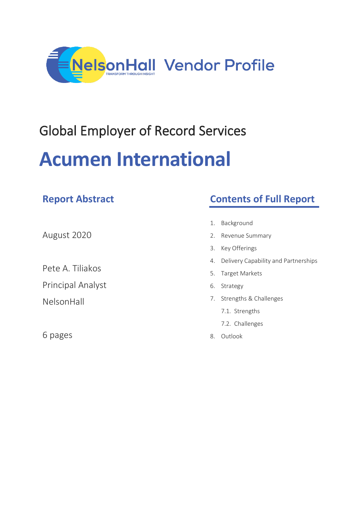

## Global Employer of Record Services

# **Acumen International**

6 pages

| <b>Report Abstract</b>   | <b>Contents of Full Report</b>             |
|--------------------------|--------------------------------------------|
|                          |                                            |
| August 2020              | Background<br>1.                           |
|                          | Revenue Summary<br>2.                      |
|                          | 3.<br>Key Offerings                        |
| Pete A. Tiliakos         | Delivery Capability and Partnerships<br>4. |
|                          | <b>Target Markets</b><br>5.                |
| <b>Principal Analyst</b> | Strategy<br>6.                             |
| NelsonHall               | Strengths & Challenges<br>7.               |
|                          | 7.1. Strengths                             |
|                          | 7.2. Challenges                            |

8. Outlook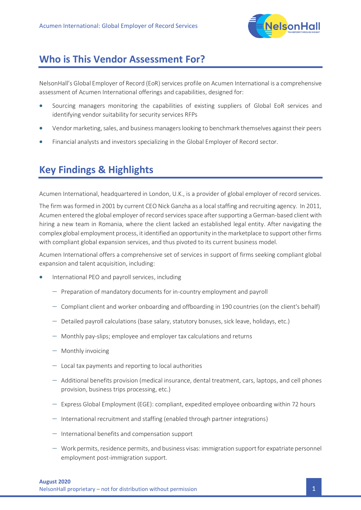

### **Who is This Vendor Assessment For?**

NelsonHall's Global Employer of Record (EoR) services profile on Acumen International is a comprehensive assessment of Acumen International offerings and capabilities, designed for:

- Sourcing managers monitoring the capabilities of existing suppliers of Global EoR services and identifying vendor suitability for security services RFPs
- Vendor marketing, sales, and business managers looking to benchmark themselves against their peers
- Financial analysts and investors specializing in the Global Employer of Record sector.

## **Key Findings & Highlights**

Acumen International, headquartered in London, U.K., is a provider of global employer of record services.

The firm was formed in 2001 by current CEO Nick Ganzha as a local staffing and recruiting agency. In 2011, Acumen entered the global employer of record services space after supporting a German-based client with hiring a new team in Romania, where the client lacked an established legal entity. After navigating the complex global employment process, it identified an opportunity in the marketplace to support other firms with compliant global expansion services, and thus pivoted to its current business model.

Acumen International offers a comprehensive set of services in support of firms seeking compliant global expansion and talent acquisition, including:

- International PEO and payroll services, including
	- − Preparation of mandatory documents for in-country employment and payroll
	- − Compliant client and worker onboarding and offboarding in 190 countries (on the client's behalf)
	- − Detailed payroll calculations (base salary, statutory bonuses, sick leave, holidays, etc.)
	- − Monthly pay-slips; employee and employer tax calculations and returns
	- − Monthly invoicing
	- − Local tax payments and reporting to local authorities
	- − Additional benefits provision (medical insurance, dental treatment, cars, laptops, and cell phones provision, business trips processing, etc.)
	- − Express Global Employment (EGE): compliant, expedited employee onboarding within 72 hours
	- − International recruitment and staffing (enabled through partner integrations)
	- − International benefits and compensation support
	- − Work permits, residence permits, and business visas: immigration support for expatriate personnel employment post-immigration support.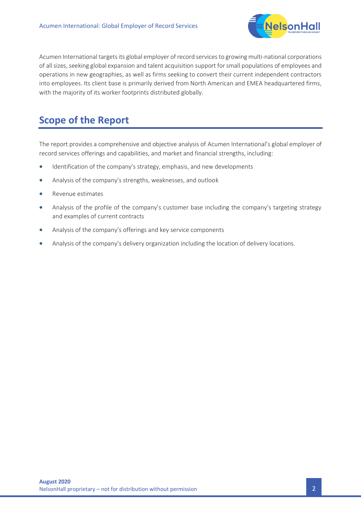

Acumen International targets its global employer of record services to growing multi-national corporations of all sizes, seeking global expansion and talent acquisition support for small populations of employees and operations in new geographies, as well as firms seeking to convert their current independent contractors into employees. Its client base is primarily derived from North American and EMEA headquartered firms, with the majority of its worker footprints distributed globally.

## **Scope of the Report**

The report provides a comprehensive and objective analysis of Acumen International's global employer of record services offerings and capabilities, and market and financial strengths, including:

- Identification of the company's strategy, emphasis, and new developments
- Analysis of the company's strengths, weaknesses, and outlook
- Revenue estimates
- Analysis of the profile of the company's customer base including the company's targeting strategy and examples of current contracts
- Analysis of the company's offerings and key service components
- Analysis of the company's delivery organization including the location of delivery locations.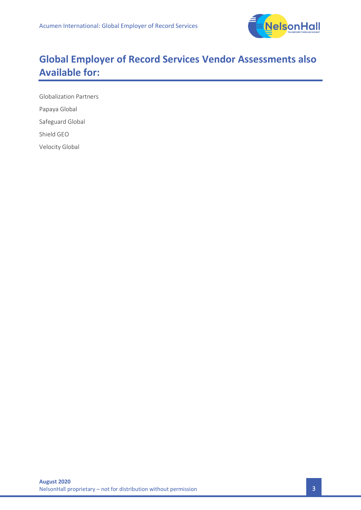

## **Global Employer of Record Services Vendor Assessments also Available for:**

Globalization Partners Papaya Global Safeguard Global Shield GEO Velocity Global